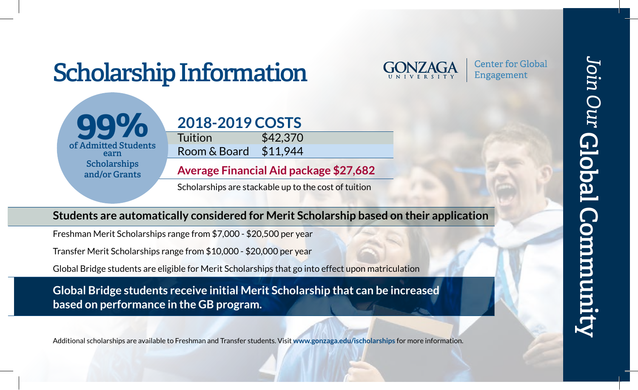# **Scholarship Information**



**Center for Global** Engagement





**Average Financial Aid package \$27,682**

Scholarships are stackable up to the cost of tuition

### **Students are automatically considered for Merit Scholarship based on their application**

Freshman Merit Scholarships range from \$7,000 - \$20,500 per year

Transfer Merit Scholarships range from \$10,000 - \$20,000 per year

Global Bridge students are eligible for Merit Scholarships that go into effect upon matriculation

**Global Bridge students receive initial Merit Scholarship that can be increased based on performance in the GB program.** 

Additional scholarships are available to Freshman and Transfer students. Visit **www.gonzaga.edu/ischolarships** for more information.